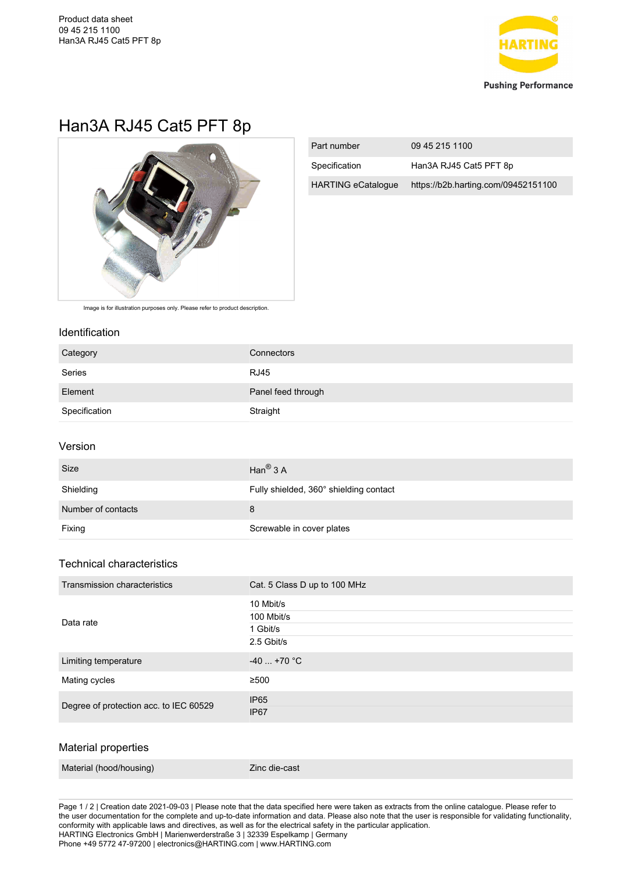

## Han3A RJ45 Cat5 PFT 8p



| Part number               | 09 45 215 1100                      |
|---------------------------|-------------------------------------|
| Specification             | Han3A RJ45 Cat5 PFT 8p              |
| <b>HARTING eCatalogue</b> | https://b2b.harting.com/09452151100 |

Image is for illustration purposes only. Please refer to product description.

#### Identification

| Category           | Connectors                             |
|--------------------|----------------------------------------|
| Series             | <b>RJ45</b>                            |
| Element            | Panel feed through                     |
| Specification      | Straight                               |
| Version            |                                        |
| Size               | Han $^{\circledR}$ 3 A                 |
| Shielding          | Fully shielded, 360° shielding contact |
| Number of contacts | 8                                      |
| Fixing             | Screwable in cover plates              |
|                    |                                        |

#### Technical characteristics

| Transmission characteristics           | Cat. 5 Class D up to 100 MHz                      |
|----------------------------------------|---------------------------------------------------|
| Data rate                              | 10 Mbit/s<br>100 Mbit/s<br>1 Gbit/s<br>2.5 Gbit/s |
| Limiting temperature                   | $-40$ +70 °C                                      |
| Mating cycles                          | ≥500                                              |
| Degree of protection acc. to IEC 60529 | <b>IP65</b><br><b>IP67</b>                        |
|                                        |                                                   |

#### Material properties

|  | Material (hood/housing) | Zinc die-cast |
|--|-------------------------|---------------|
|--|-------------------------|---------------|

Page 1 / 2 | Creation date 2021-09-03 | Please note that the data specified here were taken as extracts from the online catalogue. Please refer to the user documentation for the complete and up-to-date information and data. Please also note that the user is responsible for validating functionality, conformity with applicable laws and directives, as well as for the electrical safety in the particular application. HARTING Electronics GmbH | Marienwerderstraße 3 | 32339 Espelkamp | Germany Phone +49 5772 47-97200 | electronics@HARTING.com | www.HARTING.com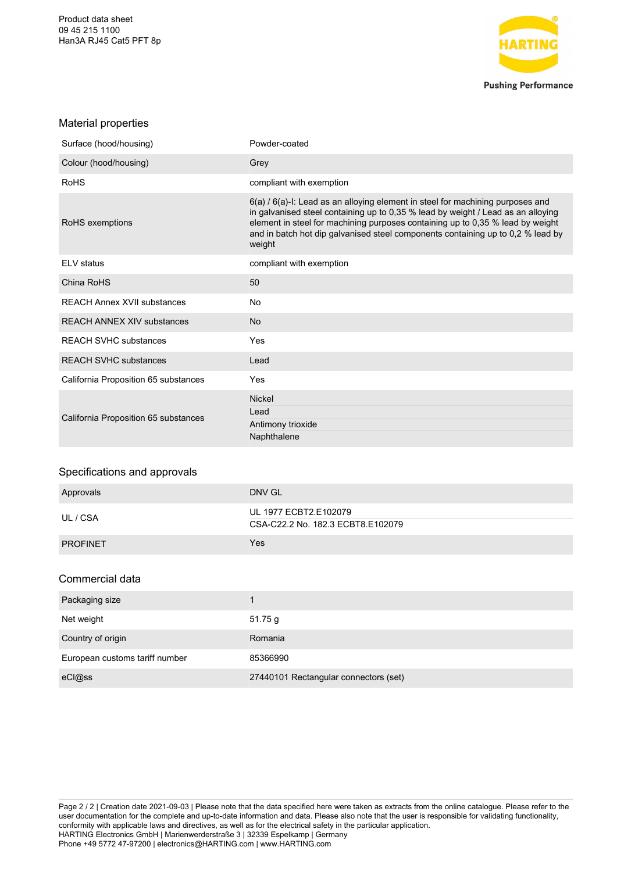Product data sheet 09 45 215 1100 Han3A RJ45 Cat5 PFT 8p



#### Material properties

| Surface (hood/housing)               | Powder-coated                                                                                                                                                                                                                                                                                                                                     |
|--------------------------------------|---------------------------------------------------------------------------------------------------------------------------------------------------------------------------------------------------------------------------------------------------------------------------------------------------------------------------------------------------|
| Colour (hood/housing)                | Grey                                                                                                                                                                                                                                                                                                                                              |
| <b>RoHS</b>                          | compliant with exemption                                                                                                                                                                                                                                                                                                                          |
| RoHS exemptions                      | 6(a) / 6(a)-I: Lead as an alloying element in steel for machining purposes and<br>in galvanised steel containing up to 0,35 % lead by weight / Lead as an alloying<br>element in steel for machining purposes containing up to 0,35 % lead by weight<br>and in batch hot dip galvanised steel components containing up to 0,2 % lead by<br>weight |
| <b>ELV</b> status                    | compliant with exemption                                                                                                                                                                                                                                                                                                                          |
| China RoHS                           | 50                                                                                                                                                                                                                                                                                                                                                |
| <b>REACH Annex XVII substances</b>   | No                                                                                                                                                                                                                                                                                                                                                |
| <b>REACH ANNEX XIV substances</b>    | <b>No</b>                                                                                                                                                                                                                                                                                                                                         |
| <b>REACH SVHC substances</b>         | Yes                                                                                                                                                                                                                                                                                                                                               |
| <b>REACH SVHC substances</b>         | Lead                                                                                                                                                                                                                                                                                                                                              |
| California Proposition 65 substances | Yes                                                                                                                                                                                                                                                                                                                                               |
| California Proposition 65 substances | <b>Nickel</b><br>Lead<br>Antimony trioxide<br>Naphthalene                                                                                                                                                                                                                                                                                         |
| Specifications and approvals         |                                                                                                                                                                                                                                                                                                                                                   |
| Approvals                            | <b>DNV GL</b>                                                                                                                                                                                                                                                                                                                                     |
| UL / CSA                             | UL 1977 ECBT2.E102079<br>CSA-C22.2 No. 182.3 ECBT8.E102079                                                                                                                                                                                                                                                                                        |

### Commercial data

PROFINET WEST TEST THE RESERVE THAT IS NOT THE RESERVE THAT IS NOT THE RESERVE THAT IS NOT THE RESERVE THAT IS NOT THE RESERVE THAT IS NOT THE RESERVE THAT IS NOT THE RESERVE THAT IS NOT THE RESERVE THAT IS NOT THE RESERVE

| Packaging size                 |                                       |
|--------------------------------|---------------------------------------|
| Net weight                     | 51.75 g                               |
| Country of origin              | Romania                               |
| European customs tariff number | 85366990                              |
| eCl@ss                         | 27440101 Rectangular connectors (set) |

Page 2 / 2 | Creation date 2021-09-03 | Please note that the data specified here were taken as extracts from the online catalogue. Please refer to the user documentation for the complete and up-to-date information and data. Please also note that the user is responsible for validating functionality, conformity with applicable laws and directives, as well as for the electrical safety in the particular application. HARTING Electronics GmbH | Marienwerderstraße 3 | 32339 Espelkamp | Germany Phone +49 5772 47-97200 | electronics@HARTING.com | www.HARTING.com